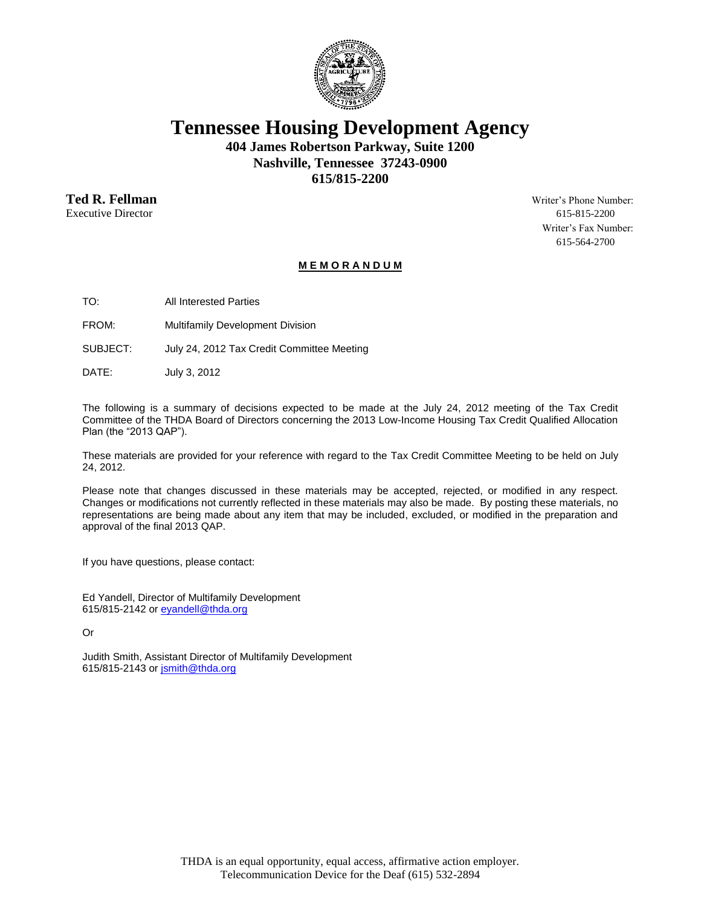

**Tennessee Housing Development Agency**

**404 James Robertson Parkway, Suite 1200 Nashville, Tennessee 37243-0900 615/815-2200**

**Ted R. Fellman** Writer's Phone Number:

Executive Director 615-815-2200 Writer's Fax Number: 615-564-2700

## **M E M O R A N D U M**

TO: All Interested Parties

FROM: Multifamily Development Division

SUBJECT: July 24, 2012 Tax Credit Committee Meeting

DATE: July 3, 2012

The following is a summary of decisions expected to be made at the July 24, 2012 meeting of the Tax Credit Committee of the THDA Board of Directors concerning the 2013 Low-Income Housing Tax Credit Qualified Allocation Plan (the "2013 QAP").

These materials are provided for your reference with regard to the Tax Credit Committee Meeting to be held on July 24, 2012.

Please note that changes discussed in these materials may be accepted, rejected, or modified in any respect. Changes or modifications not currently reflected in these materials may also be made. By posting these materials, no representations are being made about any item that may be included, excluded, or modified in the preparation and approval of the final 2013 QAP.

If you have questions, please contact:

Ed Yandell, Director of Multifamily Development 615/815-2142 o[r eyandell@thda.org](mailto:eyandell@thda.org)

Or

Judith Smith, Assistant Director of Multifamily Development 615/815-2143 o[r jsmith@thda.org](mailto:jsmith@thda.org)